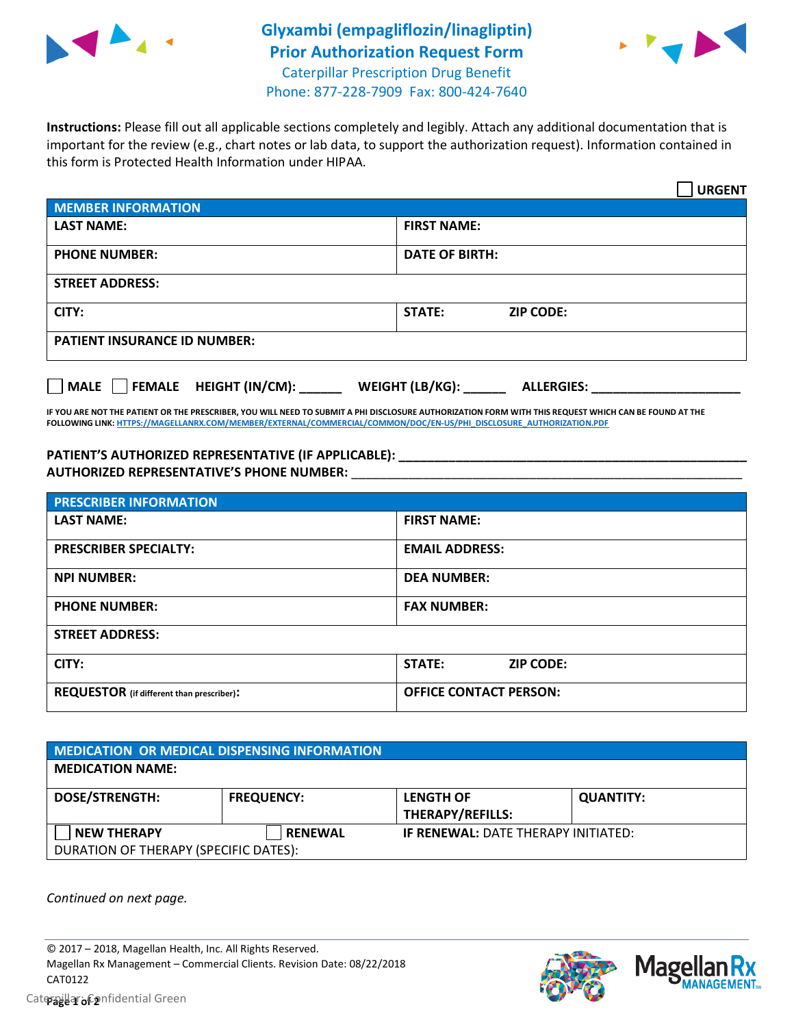

## **Glyxambi (empagliflozin/linagliptin) Prior Authorization Request Form** Caterpillar Prescription Drug Benefit



Phone: 877-228-7909 Fax: 800-424-7640

**Instructions:** Please fill out all applicable sections completely and legibly. Attach any additional documentation that is important for the review (e.g., chart notes or lab data, to support the authorization request). Information contained in this form is Protected Health Information under HIPAA.

|                                       | <b>URGENT</b>                        |  |  |  |
|---------------------------------------|--------------------------------------|--|--|--|
| <b>MEMBER INFORMATION</b>             |                                      |  |  |  |
| <b>LAST NAME:</b>                     | <b>FIRST NAME:</b>                   |  |  |  |
| <b>PHONE NUMBER:</b>                  | <b>DATE OF BIRTH:</b>                |  |  |  |
| <b>STREET ADDRESS:</b>                |                                      |  |  |  |
| CITY:                                 | <b>STATE:</b><br><b>ZIP CODE:</b>    |  |  |  |
| <b>PATIENT INSURANCE ID NUMBER:</b>   |                                      |  |  |  |
| FEMALE HEIGHT (IN/CM):<br><b>MALE</b> | WEIGHT (LB/KG):<br><b>ALLERGIES:</b> |  |  |  |

**IF YOU ARE NOT THE PATIENT OR THE PRESCRIBER, YOU WILL NEED TO SUBMIT A PHI DISCLOSURE AUTHORIZATION FORM WITH THIS REQUEST WHICH CAN BE FOUND AT THE FOLLOWING LINK[: HTTPS://MAGELLANRX.COM/MEMBER/EXTERNAL/COMMERCIAL/COMMON/DOC/EN-US/PHI\\_DISCLOSURE\\_AUTHORIZATION.PDF](https://magellanrx.com/member/external/commercial/common/doc/en-us/PHI_Disclosure_Authorization.pdf)**

**PATIENT'S AUTHORIZED REPRESENTATIVE (IF APPLICABLE): \_\_\_\_\_\_\_\_\_\_\_\_\_\_\_\_\_\_\_\_\_\_\_\_\_\_\_\_\_\_\_\_\_\_\_\_\_\_\_\_\_\_\_\_\_\_\_\_\_ AUTHORIZED REPRESENTATIVE'S PHONE NUMBER:** \_\_\_\_\_\_\_\_\_\_\_\_\_\_\_\_\_\_\_\_\_\_\_\_\_\_\_\_\_\_\_\_\_\_\_\_\_\_\_\_\_\_\_\_\_\_\_\_\_\_\_\_\_\_\_

| <b>PRESCRIBER INFORMATION</b>             |                               |  |  |  |
|-------------------------------------------|-------------------------------|--|--|--|
| <b>LAST NAME:</b>                         | <b>FIRST NAME:</b>            |  |  |  |
| <b>PRESCRIBER SPECIALTY:</b>              | <b>EMAIL ADDRESS:</b>         |  |  |  |
| <b>NPI NUMBER:</b>                        | <b>DEA NUMBER:</b>            |  |  |  |
| <b>PHONE NUMBER:</b>                      | <b>FAX NUMBER:</b>            |  |  |  |
| <b>STREET ADDRESS:</b>                    |                               |  |  |  |
| CITY:                                     | STATE:<br><b>ZIP CODE:</b>    |  |  |  |
| REQUESTOR (if different than prescriber): | <b>OFFICE CONTACT PERSON:</b> |  |  |  |

| <b>MEDICATION OR MEDICAL DISPENSING INFORMATION</b> |                   |                                            |                  |  |  |
|-----------------------------------------------------|-------------------|--------------------------------------------|------------------|--|--|
| <b>MEDICATION NAME:</b>                             |                   |                                            |                  |  |  |
| <b>DOSE/STRENGTH:</b>                               | <b>FREQUENCY:</b> | <b>LENGTH OF</b>                           | <b>QUANTITY:</b> |  |  |
|                                                     |                   | <b>THERAPY/REFILLS:</b>                    |                  |  |  |
| <b>NEW THERAPY</b>                                  | <b>RENEWAL</b>    | <b>IF RENEWAL: DATE THERAPY INITIATED:</b> |                  |  |  |
| DURATION OF THERAPY (SPECIFIC DATES):               |                   |                                            |                  |  |  |

*Continued on next page.*

© 2017 – 2018, Magellan Health, Inc. All Rights Reserved. Magellan Rx Management – Commercial Clients. Revision Date: 08/22/2018 CAT0122



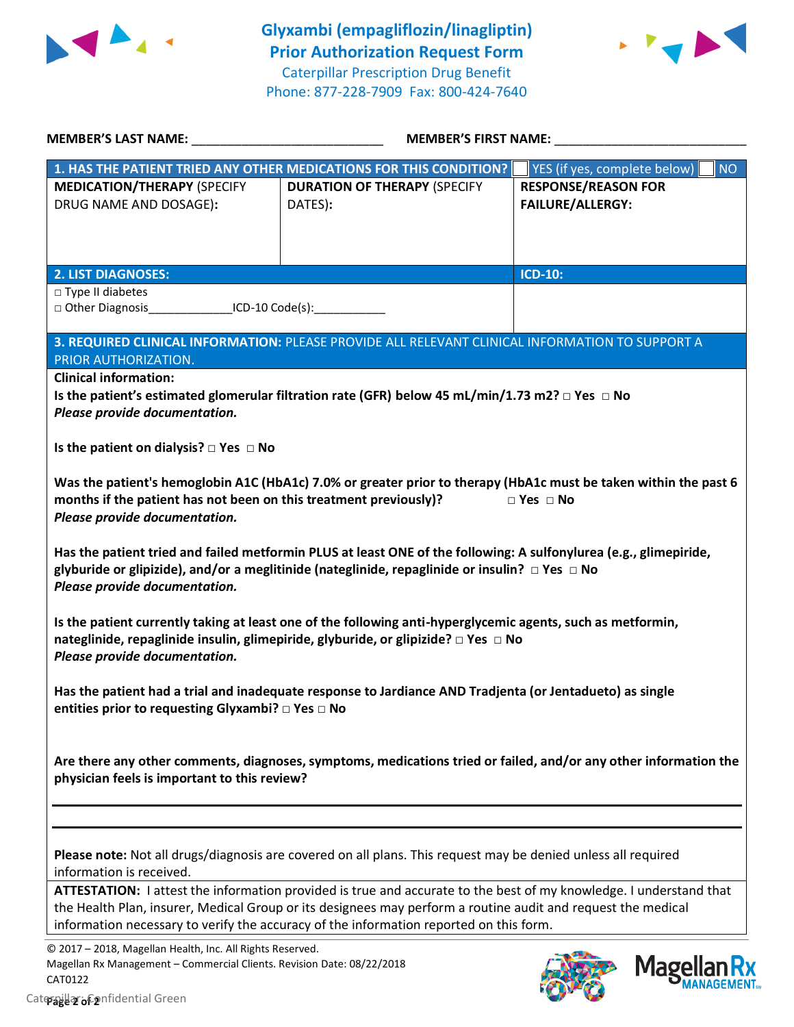



|                                                                                                                                                | <b>MEMBER'S LAST NAME:</b> NAME:<br><b>MEMBER'S FIRST NAME:</b>                                                                                                                                                                                                                                                              |                                                       |  |
|------------------------------------------------------------------------------------------------------------------------------------------------|------------------------------------------------------------------------------------------------------------------------------------------------------------------------------------------------------------------------------------------------------------------------------------------------------------------------------|-------------------------------------------------------|--|
|                                                                                                                                                | 1. HAS THE PATIENT TRIED ANY OTHER MEDICATIONS FOR THIS CONDITION?                                                                                                                                                                                                                                                           | YES (if yes, complete below)<br><b>NO</b>             |  |
| <b>MEDICATION/THERAPY (SPECIFY</b><br>DRUG NAME AND DOSAGE):                                                                                   | <b>DURATION OF THERAPY (SPECIFY</b><br>DATES):                                                                                                                                                                                                                                                                               | <b>RESPONSE/REASON FOR</b><br><b>FAILURE/ALLERGY:</b> |  |
| <b>2. LIST DIAGNOSES:</b>                                                                                                                      |                                                                                                                                                                                                                                                                                                                              | <b>ICD-10:</b>                                        |  |
| □ Type II diabetes<br>□ Other Diagnosis __________________ICD-10 Code(s):                                                                      |                                                                                                                                                                                                                                                                                                                              |                                                       |  |
| PRIOR AUTHORIZATION.                                                                                                                           | 3. REQUIRED CLINICAL INFORMATION: PLEASE PROVIDE ALL RELEVANT CLINICAL INFORMATION TO SUPPORT A                                                                                                                                                                                                                              |                                                       |  |
| <b>Clinical information:</b><br>Please provide documentation.                                                                                  | Is the patient's estimated glomerular filtration rate (GFR) below 45 mL/min/1.73 m2? $\Box$ Yes $\Box$ No                                                                                                                                                                                                                    |                                                       |  |
| Is the patient on dialysis? $\Box$ Yes $\Box$ No                                                                                               |                                                                                                                                                                                                                                                                                                                              |                                                       |  |
| months if the patient has not been on this treatment previously)?<br>Please provide documentation.                                             | Was the patient's hemoglobin A1C (HbA1c) 7.0% or greater prior to therapy (HbA1c must be taken within the past 6                                                                                                                                                                                                             | $\Box$ Yes $\Box$ No                                  |  |
| Please provide documentation.                                                                                                                  | Has the patient tried and failed metformin PLUS at least ONE of the following: A sulfonylurea (e.g., glimepiride,<br>glyburide or glipizide), and/or a meglitinide (nateglinide, repaglinide or insulin? $\Box$ Yes $\Box$ No                                                                                                |                                                       |  |
| Please provide documentation.                                                                                                                  | Is the patient currently taking at least one of the following anti-hyperglycemic agents, such as metformin,<br>nateglinide, repaglinide insulin, glimepiride, glyburide, or glipizide? □ Yes □ No                                                                                                                            |                                                       |  |
| entities prior to requesting Glyxambi? □ Yes □ No                                                                                              | Has the patient had a trial and inadequate response to Jardiance AND Tradjenta (or Jentadueto) as single                                                                                                                                                                                                                     |                                                       |  |
| physician feels is important to this review?                                                                                                   | Are there any other comments, diagnoses, symptoms, medications tried or failed, and/or any other information the                                                                                                                                                                                                             |                                                       |  |
|                                                                                                                                                |                                                                                                                                                                                                                                                                                                                              |                                                       |  |
| information is received.                                                                                                                       | Please note: Not all drugs/diagnosis are covered on all plans. This request may be denied unless all required                                                                                                                                                                                                                |                                                       |  |
|                                                                                                                                                | ATTESTATION: I attest the information provided is true and accurate to the best of my knowledge. I understand that<br>the Health Plan, insurer, Medical Group or its designees may perform a routine audit and request the medical<br>information necessary to verify the accuracy of the information reported on this form. |                                                       |  |
| © 2017 - 2018, Magellan Health, Inc. All Rights Reserved.<br>Magellan Rx Management - Commercial Clients. Revision Date: 08/22/2018<br>CAT0122 |                                                                                                                                                                                                                                                                                                                              | <b>Magella</b>                                        |  |